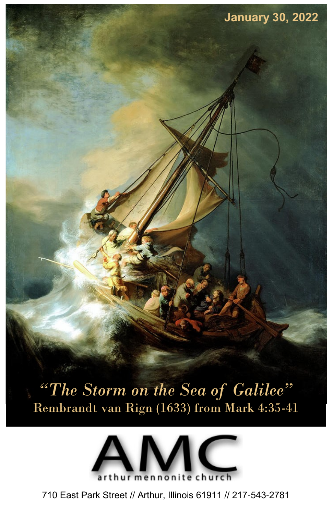*"The Storm on the Sea of Galilee"* Rembrandt van Rign (1633) from Mark 4:35-41

**January 30, 2022**



710 East Park Street // Arthur, Illinois 61911 // 217-543-2781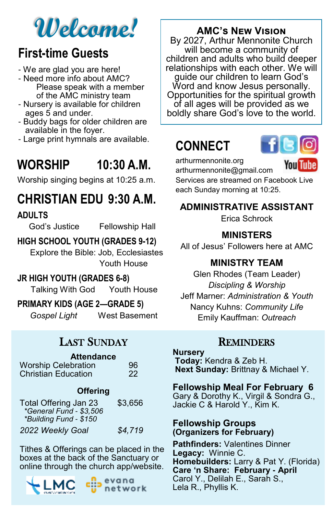# **Welcome!**

## **First-time Guests**

- We are glad you are here!
- Need more info about AMC? Please speak with a member of the AMC ministry team
- Nursery is available for children ages 5 and under.
- Buddy bags for older children are available in the foyer.
- Large print hymnals are available.

## **WORSHIP 10:30 A.M.**

Worship singing begins at 10:25 a.m.

## **CHRISTIAN EDU 9:30 A.M.**

#### **ADULTS**

God's Justice Fellowship Hall

#### **HIGH SCHOOL YOUTH (GRADES 9-12)**

Explore the Bible: Job, Ecclesiastes Youth House

#### **JR HIGH YOUTH (GRADES 6-8)**

Talking With God Youth House

#### **PRIMARY KIDS (AGE 2—GRADE 5)**

*Gospel Light* West Basement

### LAST SUNDAY

### **Attendance**

| <b>Worship Celebration</b> | 96 |
|----------------------------|----|
| <b>Christian Education</b> | 22 |

#### **Offering**

| Total Offering Jan 23<br>*General Fund - \$3,506<br>*Building Fund - \$150 | \$3,656 |
|----------------------------------------------------------------------------|---------|
| 2022 Weekly Goal                                                           | \$4,719 |

Tithes & Offerings can be placed in the boxes at the back of the Sanctuary or online through the church app/website.



evana network

### **AMC's New Vision**

By 2027, Arthur Mennonite Church will become a community of children and adults who build deeper relationships with each other. We will guide our children to learn God's Word and know Jesus personally. Opportunities for the spiritual growth of all ages will be provided as we boldly share God's love to the world.

## **CONNECT**



arthurmennonite.org

**You Tube** 

arthurmennonite@gmail.com Services are streamed on Facebook Live each Sunday morning at 10:25.

#### **ADMINISTRATIVE ASSISTANT**

Erica Schrock

#### **MINISTERS**

All of Jesus' Followers here at AMC

#### **MINISTRY TEAM**

Glen Rhodes (Team Leader) *Discipling & Worship*  Jeff Marner: *Administration & Youth* Nancy Kuhns: *Community Life* Emily Kauffman: *Outreach*

#### **REMINDERS**

#### **Nursery**

**Today:** Kendra & Zeb H. **Next Sunday:** Brittnay & Michael Y.

#### **Fellowship Meal For February 6**

Gary & Dorothy K., Virgil & Sondra G., Jackie C & Harold Y., Kim K.

#### **Fellowship Groups (Organizers for February)**

**Pathfinders:** Valentines Dinner **Legacy:** Winnie C. **Homebuilders:** Larry & Pat Y. (Florida) **Care 'n Share: February - April** Carol Y., Delilah E., Sarah S., Lela R., Phyllis K.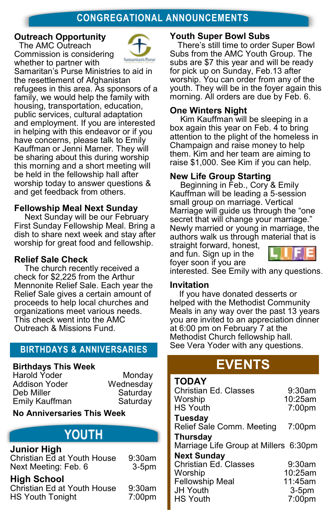#### **CONGREGATIONAL ANNOUNCEMENTS**

#### **Outreach Opportunity**

 The AMC Outreach Commission is considering whether to partner with



Samaritan's Purse Ministries to aid in the resettlement of Afghanistan refugees in this area. As sponsors of a family, we would help the family with housing, transportation, education, public services, cultural adaptation and employment. If you are interested in helping with this endeavor or if you have concerns, please talk to Emily Kauffman or Jenni Marner. They will be sharing about this during worship this morning and a short meeting will be held in the fellowship hall after worship today to answer questions & and get feedback from others.

#### **Fellowship Meal Next Sunday**

Next Sunday will be our February First Sunday Fellowship Meal. Bring a dish to share next week and stay after worship for great food and fellowship.

#### **Relief Sale Check**

The church recently received a check for \$2,225 from the Arthur Mennonite Relief Sale. Each year the Relief Sale gives a certain amount of proceeds to help local churches and organizations meet various needs. This check went into the AMC Outreach & Missions Fund.

#### **BIRTHDAYS & ANNIVERSARIES**

#### **Birthdays This Week**

Harold Yoder Monday<br>Addison Yoder Wednesday Deb Miller Saturday Emily Kauffman Saturday

Wednesday

**No Anniversaries This Week**

### **YOUTH**

#### **Junior High**

Christian Ed at Youth House 9:30am Next Meeting: Feb. 6 3-5pm

#### **High School**

Christian Ed at Youth House 9:30am HS Youth Tonight 7:00pm

#### **Youth Super Bowl Subs**

There's still time to order Super Bowl Subs from the AMC Youth Group. The subs are \$7 this year and will be ready for pick up on Sunday, Feb.13 after worship. You can order from any of the youth. They will be in the foyer again this morning. All orders are due by Feb. 6.

#### **One Winters Night**

Kim Kauffman will be sleeping in a box again this year on Feb. 4 to bring attention to the plight of the homeless in Champaign and raise money to help them. Kim and her team are aiming to raise \$1,000. See Kim if you can help.

#### **New Life Group Starting**

Beginning in Feb., Cory & Emily Kauffman will be leading a 5-session small group on marriage. Vertical Marriage will guide us through the "one secret that will change your marriage." Newly married or young in marriage, the authors walk us through material that is

straight forward, honest, and fun. Sign up in the foyer soon if you are



interested. See Emily with any questions.

#### **Invitation**

**TODAY** 

If you have donated desserts or helped with the Methodist Community Meals in any way over the past 13 years you are invited to an appreciation dinner at 6:00 pm on February 7 at the Methodist Church fellowship hall. See Vera Yoder with any questions.

### **EVENTS**

| TODAY<br>Christian Ed. Classes        | 9:30am             |
|---------------------------------------|--------------------|
| Worship                               | 10:25am            |
| <b>HS Youth</b>                       | 7:00 <sub>pm</sub> |
| Tuesday                               |                    |
| Relief Sale Comm. Meeting             | $7:00$ pm          |
| Thursday                              |                    |
| Marriage Life Group at Millers 6:30pm |                    |
| <b>Next Sunday</b>                    |                    |
| Christian Ed. Classes                 | $9:30$ am          |
| Worship                               | 10:25am            |
| <b>Fellowship Meal</b>                | 11:45am            |
| <b>JH Youth</b>                       | $3-5pm$            |
| <b>HS Youth</b>                       | $7:00$ pm          |